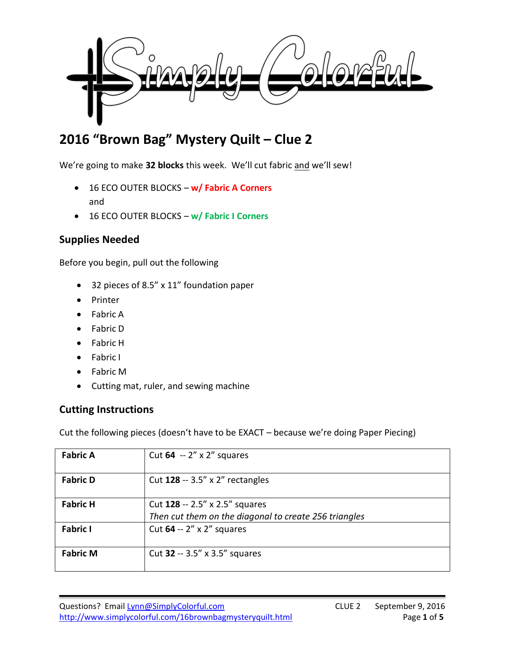

# **2016 "Brown Bag" Mystery Quilt – Clue 2**

We're going to make **32 blocks** this week. We'll cut fabric and we'll sew!

- 16 ECO OUTER BLOCKS **w/ Fabric A Corners** and
- 16 ECO OUTER BLOCKS **w/ Fabric I Corners**

# **Supplies Needed**

Before you begin, pull out the following

- 32 pieces of 8.5" x 11" foundation paper
- Printer
- Fabric A
- Fabric D
- Fabric H
- Fabric I
- Fabric M
- Cutting mat, ruler, and sewing machine

### **Cutting Instructions**

Cut the following pieces (doesn't have to be EXACT – because we're doing Paper Piecing)

| <b>Fabric A</b> | Cut 64 $-2''$ x 2" squares                                                              |
|-----------------|-----------------------------------------------------------------------------------------|
| <b>Fabric D</b> | Cut $128 - 3.5'' \times 2''$ rectangles                                                 |
| <b>Fabric H</b> | Cut 128 -- 2.5" x 2.5" squares<br>Then cut them on the diagonal to create 256 triangles |
| <b>Fabric I</b> | Cut $64 - 2'' \times 2''$ squares                                                       |
| <b>Fabric M</b> | Cut $32 - 3.5''$ x 3.5" squares                                                         |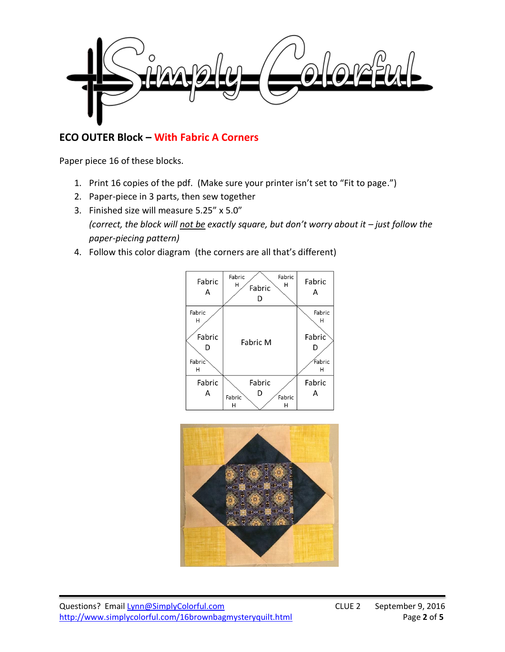

## **ECO OUTER Block – With Fabric A Corners**

Paper piece 16 of these blocks.

- 1. Print 16 copies of the pdf. (Make sure your printer isn't set to "Fit to page.")
- 2. Paper-piece in 3 parts, then sew together
- 3. Finished size will measure 5.25" x 5.0" *(correct, the block will not be exactly square, but don't worry about it – just follow the paper-piecing pattern)*
- 4. Follow this color diagram (the corners are all that's different)



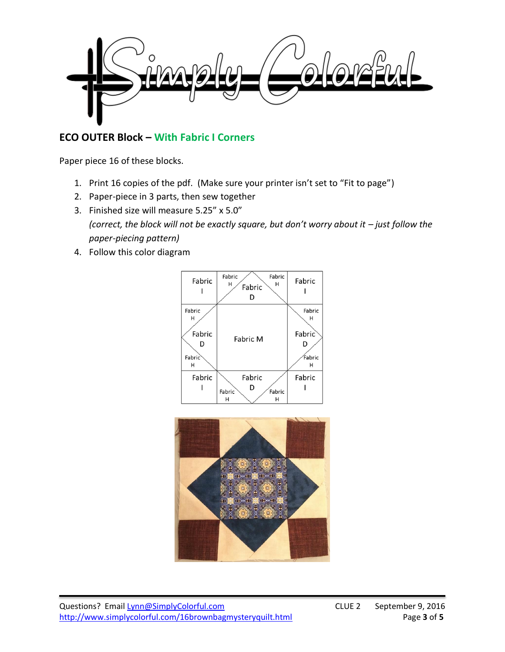

# **ECO OUTER Block – With Fabric I Corners**

Paper piece 16 of these blocks.

- 1. Print 16 copies of the pdf. (Make sure your printer isn't set to "Fit to page")
- 2. Paper-piece in 3 parts, then sew together
- 3. Finished size will measure 5.25" x 5.0" *(correct, the block will not be exactly square, but don't worry about it – just follow the paper-piecing pattern)*
- 4. Follow this color diagram



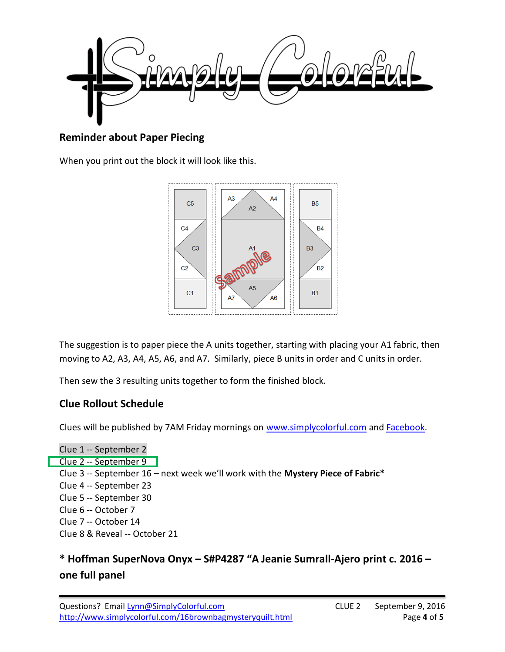

## **Reminder about Paper Piecing**

When you print out the block it will look like this.



The suggestion is to paper piece the A units together, starting with placing your A1 fabric, then moving to A2, A3, A4, A5, A6, and A7. Similarly, piece B units in order and C units in order.

Then sew the 3 resulting units together to form the finished block.

### **Clue Rollout Schedule**

Clues will be published by 7AM Friday mornings on [www.simplycolorful.com](http://www.simplycolorful.com/) and [Facebook.](https://www.facebook.com/groups/SimplyColorfulMysteryQuiltAlong/)

Clue 1 -- September 2 Clue 2 -- September 9 Clue 3 -- September 16 – next week we'll work with the **Mystery Piece of Fabric\*** Clue 4 -- September 23 Clue 5 -- September 30 Clue 6 -- October 7 Clue 7 -- October 14 Clue 8 & Reveal -- October 21

# **\* Hoffman SuperNova Onyx – S#P4287 "A Jeanie Sumrall-Ajero print c. 2016 – one full panel**